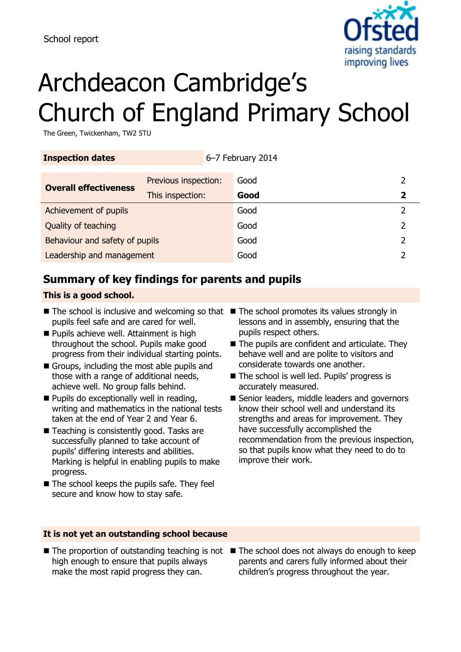

# Archdeacon Cambridge's Church of England Primary School

The Green, Twickenham, TW2 5TU

| <b>Inspection dates</b>        |                      | 6-7 February 2014 |      |   |
|--------------------------------|----------------------|-------------------|------|---|
| <b>Overall effectiveness</b>   | Previous inspection: |                   | Good |   |
|                                | This inspection:     |                   | Good |   |
| Achievement of pupils          |                      | Good              |      |   |
| Quality of teaching            |                      | Good              | 2    |   |
| Behaviour and safety of pupils |                      |                   | Good | 2 |
| Leadership and management      |                      | Good              |      |   |

# **Summary of key findings for parents and pupils**

#### **This is a good school.**

- The school is inclusive and welcoming so that The school promotes its values strongly in pupils feel safe and are cared for well.
- **Pupils achieve well. Attainment is high** throughout the school. Pupils make good progress from their individual starting points.
- Groups, including the most able pupils and those with a range of additional needs, achieve well. No group falls behind.
- **Pupils do exceptionally well in reading,** writing and mathematics in the national tests taken at the end of Year 2 and Year 6.
- Teaching is consistently good. Tasks are successfully planned to take account of pupils' differing interests and abilities. Marking is helpful in enabling pupils to make progress.
- $\blacksquare$  The school keeps the pupils safe. They feel secure and know how to stay safe.
- lessons and in assembly, ensuring that the pupils respect others.
- The pupils are confident and articulate. They behave well and are polite to visitors and considerate towards one another.
- The school is well led. Pupils' progress is accurately measured.
- Senior leaders, middle leaders and governors know their school well and understand its strengths and areas for improvement. They have successfully accomplished the recommendation from the previous inspection, so that pupils know what they need to do to improve their work.

#### **It is not yet an outstanding school because**

- high enough to ensure that pupils always make the most rapid progress they can.
- $\blacksquare$  The proportion of outstanding teaching is not  $\blacksquare$  The school does not always do enough to keep parents and carers fully informed about their children's progress throughout the year.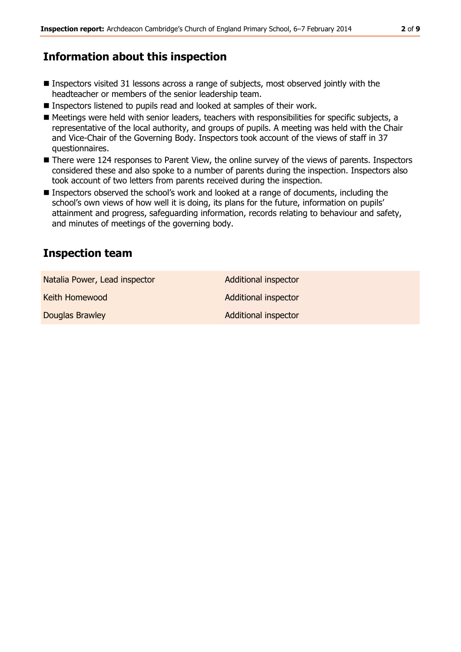# **Information about this inspection**

- Inspectors visited 31 lessons across a range of subjects, most observed jointly with the headteacher or members of the senior leadership team.
- Inspectors listened to pupils read and looked at samples of their work.
- Meetings were held with senior leaders, teachers with responsibilities for specific subjects, a representative of the local authority, and groups of pupils. A meeting was held with the Chair and Vice-Chair of the Governing Body. Inspectors took account of the views of staff in 37 questionnaires.
- There were 124 responses to Parent View, the online survey of the views of parents. Inspectors considered these and also spoke to a number of parents during the inspection. Inspectors also took account of two letters from parents received during the inspection.
- Inspectors observed the school's work and looked at a range of documents, including the school's own views of how well it is doing, its plans for the future, information on pupils' attainment and progress, safeguarding information, records relating to behaviour and safety, and minutes of meetings of the governing body.

## **Inspection team**

Natalia Power, Lead inspector **Additional inspector** Keith Homewood **Additional inspector** Additional inspector **Douglas Brawley Additional inspector**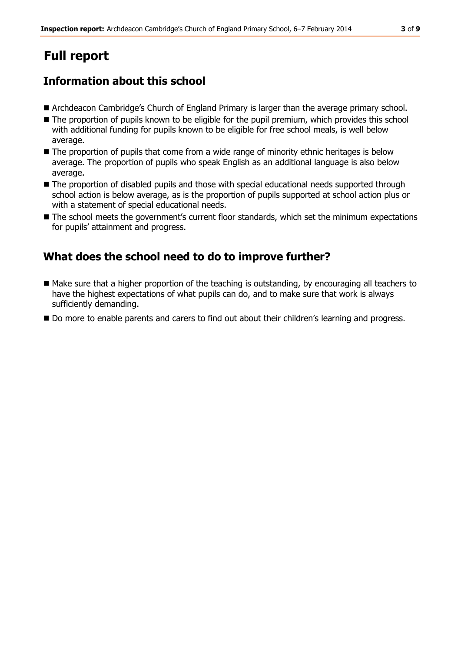# **Full report**

# **Information about this school**

- Archdeacon Cambridge's Church of England Primary is larger than the average primary school.
- The proportion of pupils known to be eligible for the pupil premium, which provides this school with additional funding for pupils known to be eligible for free school meals, is well below average.
- $\blacksquare$  The proportion of pupils that come from a wide range of minority ethnic heritages is below average. The proportion of pupils who speak English as an additional language is also below average.
- $\blacksquare$  The proportion of disabled pupils and those with special educational needs supported through school action is below average, as is the proportion of pupils supported at school action plus or with a statement of special educational needs.
- $\blacksquare$  The school meets the government's current floor standards, which set the minimum expectations for pupils' attainment and progress.

#### **What does the school need to do to improve further?**

- Make sure that a higher proportion of the teaching is outstanding, by encouraging all teachers to have the highest expectations of what pupils can do, and to make sure that work is always sufficiently demanding.
- Do more to enable parents and carers to find out about their children's learning and progress.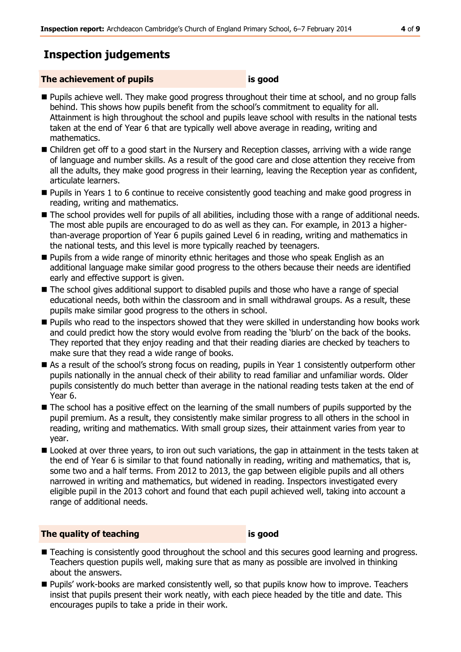# **Inspection judgements**

#### **The achievement of pupils is good**

- **Pupils achieve well. They make good progress throughout their time at school, and no group falls** behind. This shows how pupils benefit from the school's commitment to equality for all. Attainment is high throughout the school and pupils leave school with results in the national tests taken at the end of Year 6 that are typically well above average in reading, writing and mathematics.
- Children get off to a good start in the Nursery and Reception classes, arriving with a wide range of language and number skills. As a result of the good care and close attention they receive from all the adults, they make good progress in their learning, leaving the Reception year as confident, articulate learners.
- **Pupils in Years 1 to 6 continue to receive consistently good teaching and make good progress in** reading, writing and mathematics.
- The school provides well for pupils of all abilities, including those with a range of additional needs. The most able pupils are encouraged to do as well as they can. For example, in 2013 a higherthan-average proportion of Year 6 pupils gained Level 6 in reading, writing and mathematics in the national tests, and this level is more typically reached by teenagers.
- **Pupils from a wide range of minority ethnic heritages and those who speak English as an** additional language make similar good progress to the others because their needs are identified early and effective support is given.
- The school gives additional support to disabled pupils and those who have a range of special educational needs, both within the classroom and in small withdrawal groups. As a result, these pupils make similar good progress to the others in school.
- **Pupils who read to the inspectors showed that they were skilled in understanding how books work** and could predict how the story would evolve from reading the 'blurb' on the back of the books. They reported that they enjoy reading and that their reading diaries are checked by teachers to make sure that they read a wide range of books.
- As a result of the school's strong focus on reading, pupils in Year 1 consistently outperform other pupils nationally in the annual check of their ability to read familiar and unfamiliar words. Older pupils consistently do much better than average in the national reading tests taken at the end of Year 6.
- The school has a positive effect on the learning of the small numbers of pupils supported by the pupil premium. As a result, they consistently make similar progress to all others in the school in reading, writing and mathematics. With small group sizes, their attainment varies from year to year.
- Looked at over three years, to iron out such variations, the gap in attainment in the tests taken at the end of Year 6 is similar to that found nationally in reading, writing and mathematics, that is, some two and a half terms. From 2012 to 2013, the gap between eligible pupils and all others narrowed in writing and mathematics, but widened in reading. Inspectors investigated every eligible pupil in the 2013 cohort and found that each pupil achieved well, taking into account a range of additional needs.

#### **The quality of teaching is good**

- **Teaching is consistently good throughout the school and this secures good learning and progress.** Teachers question pupils well, making sure that as many as possible are involved in thinking about the answers.
- **Pupils' work-books are marked consistently well, so that pupils know how to improve. Teachers** insist that pupils present their work neatly, with each piece headed by the title and date. This encourages pupils to take a pride in their work.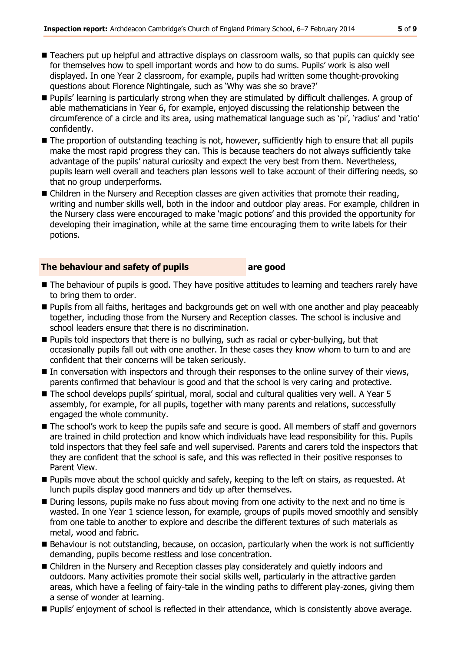- Teachers put up helpful and attractive displays on classroom walls, so that pupils can quickly see for themselves how to spell important words and how to do sums. Pupils' work is also well displayed. In one Year 2 classroom, for example, pupils had written some thought-provoking questions about Florence Nightingale, such as 'Why was she so brave?'
- Pupils' learning is particularly strong when they are stimulated by difficult challenges. A group of able mathematicians in Year 6, for example, enjoyed discussing the relationship between the circumference of a circle and its area, using mathematical language such as 'pi', 'radius' and 'ratio' confidently.
- The proportion of outstanding teaching is not, however, sufficiently high to ensure that all pupils make the most rapid progress they can. This is because teachers do not always sufficiently take advantage of the pupils' natural curiosity and expect the very best from them. Nevertheless, pupils learn well overall and teachers plan lessons well to take account of their differing needs, so that no group underperforms.
- **E** Children in the Nursery and Reception classes are given activities that promote their reading, writing and number skills well, both in the indoor and outdoor play areas. For example, children in the Nursery class were encouraged to make 'magic potions' and this provided the opportunity for developing their imagination, while at the same time encouraging them to write labels for their potions.

#### **The behaviour and safety of pupils are good**

- The behaviour of pupils is good. They have positive attitudes to learning and teachers rarely have to bring them to order.
- **Pupils from all faiths, heritages and backgrounds get on well with one another and play peaceably** together, including those from the Nursery and Reception classes. The school is inclusive and school leaders ensure that there is no discrimination.
- **Pupils told inspectors that there is no bullying, such as racial or cyber-bullying, but that** occasionally pupils fall out with one another. In these cases they know whom to turn to and are confident that their concerns will be taken seriously.
- In conversation with inspectors and through their responses to the online survey of their views, parents confirmed that behaviour is good and that the school is very caring and protective.
- The school develops pupils' spiritual, moral, social and cultural qualities very well. A Year 5 assembly, for example, for all pupils, together with many parents and relations, successfully engaged the whole community.
- The school's work to keep the pupils safe and secure is good. All members of staff and governors are trained in child protection and know which individuals have lead responsibility for this. Pupils told inspectors that they feel safe and well supervised. Parents and carers told the inspectors that they are confident that the school is safe, and this was reflected in their positive responses to Parent View.
- Pupils move about the school quickly and safely, keeping to the left on stairs, as requested. At lunch pupils display good manners and tidy up after themselves.
- **During lessons, pupils make no fuss about moving from one activity to the next and no time is** wasted. In one Year 1 science lesson, for example, groups of pupils moved smoothly and sensibly from one table to another to explore and describe the different textures of such materials as metal, wood and fabric.
- Behaviour is not outstanding, because, on occasion, particularly when the work is not sufficiently demanding, pupils become restless and lose concentration.
- Children in the Nursery and Reception classes play considerately and quietly indoors and outdoors. Many activities promote their social skills well, particularly in the attractive garden areas, which have a feeling of fairy-tale in the winding paths to different play-zones, giving them a sense of wonder at learning.
- Pupils' enjoyment of school is reflected in their attendance, which is consistently above average.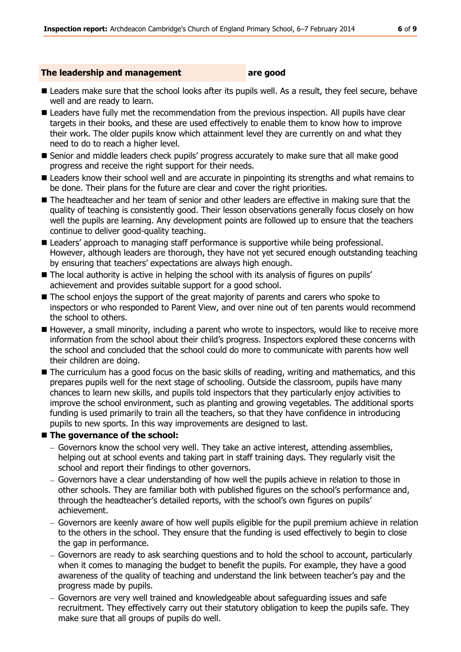#### **The leadership and management are good**

- **Leaders make sure that the school looks after its pupils well. As a result, they feel secure, behave** well and are ready to learn.
- **Leaders have fully met the recommendation from the previous inspection. All pupils have clear** targets in their books, and these are used effectively to enable them to know how to improve their work. The older pupils know which attainment level they are currently on and what they need to do to reach a higher level.
- Senior and middle leaders check pupils' progress accurately to make sure that all make good progress and receive the right support for their needs.
- **E** Leaders know their school well and are accurate in pinpointing its strengths and what remains to be done. Their plans for the future are clear and cover the right priorities.
- The headteacher and her team of senior and other leaders are effective in making sure that the quality of teaching is consistently good. Their lesson observations generally focus closely on how well the pupils are learning. Any development points are followed up to ensure that the teachers continue to deliver good-quality teaching.
- **E** Leaders' approach to managing staff performance is supportive while being professional. However, although leaders are thorough, they have not yet secured enough outstanding teaching by ensuring that teachers' expectations are always high enough.
- The local authority is active in helping the school with its analysis of figures on pupils' achievement and provides suitable support for a good school.
- The school enjoys the support of the great majority of parents and carers who spoke to inspectors or who responded to Parent View, and over nine out of ten parents would recommend the school to others.
- However, a small minority, including a parent who wrote to inspectors, would like to receive more information from the school about their child's progress. Inspectors explored these concerns with the school and concluded that the school could do more to communicate with parents how well their children are doing.
- The curriculum has a good focus on the basic skills of reading, writing and mathematics, and this prepares pupils well for the next stage of schooling. Outside the classroom, pupils have many chances to learn new skills, and pupils told inspectors that they particularly enjoy activities to improve the school environment, such as planting and growing vegetables. The additional sports funding is used primarily to train all the teachers, so that they have confidence in introducing pupils to new sports. In this way improvements are designed to last.

#### ■ The governance of the school:

- Governors know the school very well. They take an active interest, attending assemblies, helping out at school events and taking part in staff training days. They regularly visit the school and report their findings to other governors.
- Governors have a clear understanding of how well the pupils achieve in relation to those in other schools. They are familiar both with published figures on the school's performance and, through the headteacher's detailed reports, with the school's own figures on pupils' achievement.
- Governors are keenly aware of how well pupils eligible for the pupil premium achieve in relation to the others in the school. They ensure that the funding is used effectively to begin to close the gap in performance.
- Governors are ready to ask searching questions and to hold the school to account, particularly when it comes to managing the budget to benefit the pupils. For example, they have a good awareness of the quality of teaching and understand the link between teacher's pay and the progress made by pupils.
- Governors are very well trained and knowledgeable about safeguarding issues and safe recruitment. They effectively carry out their statutory obligation to keep the pupils safe. They make sure that all groups of pupils do well.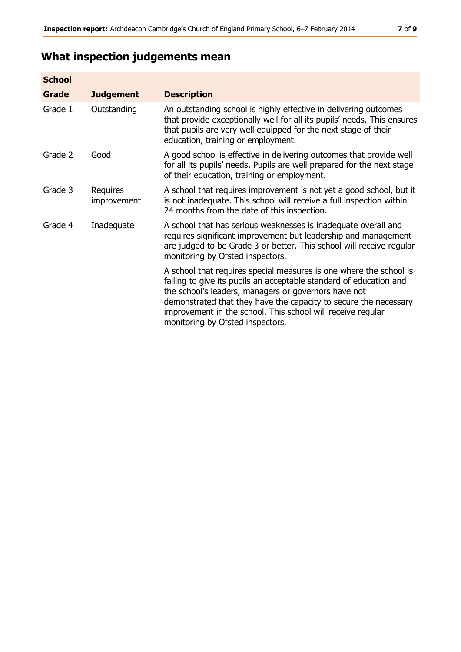# **What inspection judgements mean**

| <b>School</b> |                                |                                                                                                                                                                                                                                                                                                                                                                         |
|---------------|--------------------------------|-------------------------------------------------------------------------------------------------------------------------------------------------------------------------------------------------------------------------------------------------------------------------------------------------------------------------------------------------------------------------|
| Grade         | <b>Judgement</b>               | <b>Description</b>                                                                                                                                                                                                                                                                                                                                                      |
| Grade 1       | Outstanding                    | An outstanding school is highly effective in delivering outcomes<br>that provide exceptionally well for all its pupils' needs. This ensures<br>that pupils are very well equipped for the next stage of their<br>education, training or employment.                                                                                                                     |
| Grade 2       | Good                           | A good school is effective in delivering outcomes that provide well<br>for all its pupils' needs. Pupils are well prepared for the next stage<br>of their education, training or employment.                                                                                                                                                                            |
| Grade 3       | <b>Requires</b><br>improvement | A school that requires improvement is not yet a good school, but it<br>is not inadequate. This school will receive a full inspection within<br>24 months from the date of this inspection.                                                                                                                                                                              |
| Grade 4       | Inadequate                     | A school that has serious weaknesses is inadequate overall and<br>requires significant improvement but leadership and management<br>are judged to be Grade 3 or better. This school will receive regular<br>monitoring by Ofsted inspectors.                                                                                                                            |
|               |                                | A school that requires special measures is one where the school is<br>failing to give its pupils an acceptable standard of education and<br>the school's leaders, managers or governors have not<br>demonstrated that they have the capacity to secure the necessary<br>improvement in the school. This school will receive regular<br>monitoring by Ofsted inspectors. |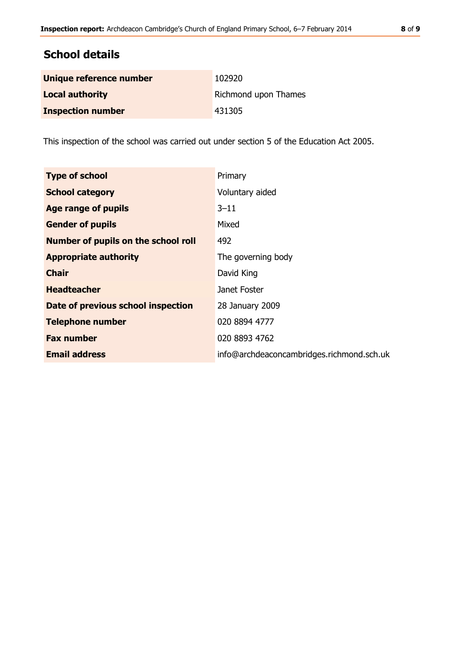# **School details**

| Unique reference number  | 102920               |
|--------------------------|----------------------|
| <b>Local authority</b>   | Richmond upon Thames |
| <b>Inspection number</b> | 431305               |

This inspection of the school was carried out under section 5 of the Education Act 2005.

| <b>Type of school</b>               | Primary                                   |
|-------------------------------------|-------------------------------------------|
| <b>School category</b>              | Voluntary aided                           |
| Age range of pupils                 | $3 - 11$                                  |
| <b>Gender of pupils</b>             | Mixed                                     |
| Number of pupils on the school roll | 492                                       |
| <b>Appropriate authority</b>        | The governing body                        |
| <b>Chair</b>                        | David King                                |
| <b>Headteacher</b>                  | Janet Foster                              |
| Date of previous school inspection  | 28 January 2009                           |
| <b>Telephone number</b>             | 020 8894 4777                             |
| <b>Fax number</b>                   | 020 8893 4762                             |
| <b>Email address</b>                | info@archdeaconcambridges.richmond.sch.uk |